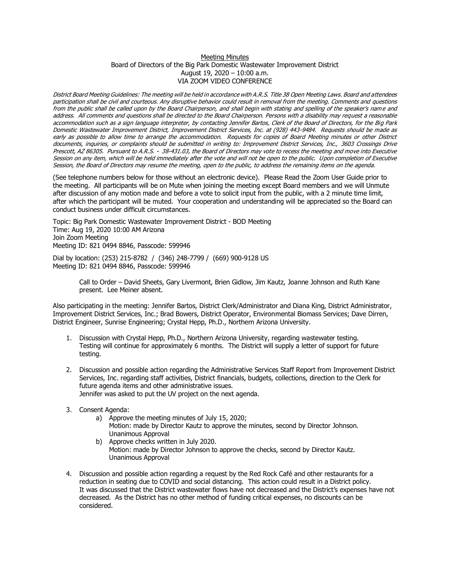## Meeting Minutes Board of Directors of the Big Park Domestic Wastewater Improvement District August 19, 2020 – 10:00 a.m. VIA ZOOM VIDEO CONFERENCE

District Board Meeting Guidelines: The meeting will be held in accordance with A.R.S. Title 38 Open Meeting Laws. Board and attendees participation shall be civil and courteous. Any disruptive behavior could result in removal from the meeting. Comments and questions from the public shall be called upon by the Board Chairperson, and shall begin with stating and spelling of the speaker's name and address. All comments and questions shall be directed to the Board Chairperson. Persons with a disability may request a reasonable accommodation such as a sign language interpreter, by contacting Jennifer Bartos, Clerk of the Board of Directors, for the Big Park Domestic Wastewater Improvement District, Improvement District Services, Inc. at (928) 443-9484. Requests should be made as early as possible to allow time to arrange the accommodation. Requests for copies of Board Meeting minutes or other District documents, inquiries, or complaints should be submitted in writing to: Improvement District Services, Inc., 3603 Crossings Drive Prescott, AZ 86305. Pursuant to A.R.S. · 38-431.03, the Board of Directors may vote to recess the meeting and move into Executive Session on any item, which will be held immediately after the vote and will not be open to the public. Upon completion of Executive Session, the Board of Directors may resume the meeting, open to the public, to address the remaining items on the agenda.

(See telephone numbers below for those without an electronic device). Please Read the Zoom User Guide prior to the meeting. All participants will be on Mute when joining the meeting except Board members and we will Unmute after discussion of any motion made and before a vote to solicit input from the public, with a 2 minute time limit, after which the participant will be muted. Your cooperation and understanding will be appreciated so the Board can conduct business under difficult circumstances.

Topic: Big Park Domestic Wastewater Improvement District - BOD Meeting Time: Aug 19, 2020 10:00 AM Arizona Join Zoom Meeting Meeting ID: 821 0494 8846, Passcode: 599946

Dial by location: (253) 215-8782 / (346) 248-7799 / (669) 900-9128 US Meeting ID: 821 0494 8846, Passcode: 599946

> Call to Order – David Sheets, Gary Livermont, Brien Gidlow, Jim Kautz, Joanne Johnson and Ruth Kane present. Lee Meiner absent.

Also participating in the meeting: Jennifer Bartos, District Clerk/Administrator and Diana King, District Administrator, Improvement District Services, Inc.; Brad Bowers, District Operator, Environmental Biomass Services; Dave Dirren, District Engineer, Sunrise Engineering; Crystal Hepp, Ph.D., Northern Arizona University.

- 1. Discussion with Crystal Hepp, Ph.D., Northern Arizona University, regarding wastewater testing. Testing will continue for approximately 6 months. The District will supply a letter of support for future testing.
- 2. Discussion and possible action regarding the Administrative Services Staff Report from Improvement District Services, Inc. regarding staff activities, District financials, budgets, collections, direction to the Clerk for future agenda items and other administrative issues. Jennifer was asked to put the UV project on the next agenda.
- 3. Consent Agenda:
	- a) Approve the meeting minutes of July 15, 2020; Motion: made by Director Kautz to approve the minutes, second by Director Johnson. Unanimous Approval
	- b) Approve checks written in July 2020. Motion: made by Director Johnson to approve the checks, second by Director Kautz. Unanimous Approval
- 4. Discussion and possible action regarding a request by the Red Rock Café and other restaurants for a reduction in seating due to COVID and social distancing. This action could result in a District policy. It was discussed that the District wastewater flows have not decreased and the District's expenses have not decreased. As the District has no other method of funding critical expenses, no discounts can be considered.